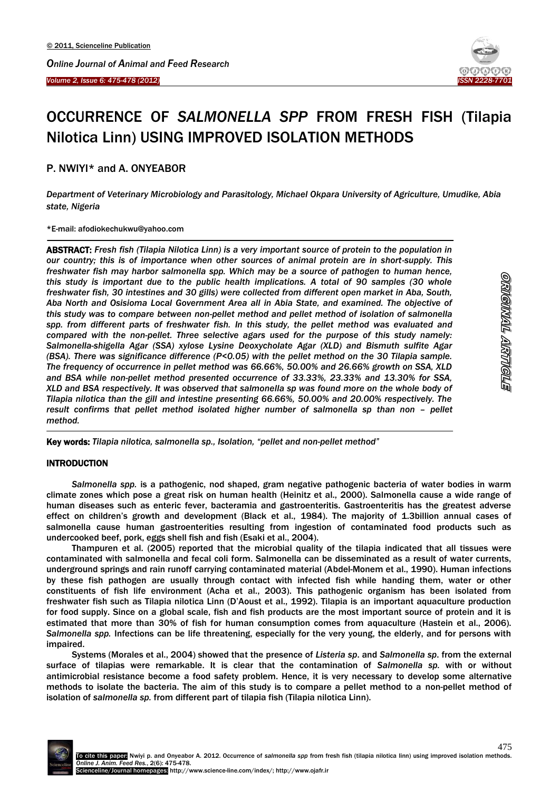



# OCCURRENCE OF *SALMONELLA SPP* FROM FRESH FISH (Tilapia Nilotica Linn) USING IMPROVED ISOLATION METHODS

## P. NWIYI\* and A. ONYEABOR

*Department of Veterinary Microbiology and Parasitology, Michael Okpara University of Agriculture, Umudike, Abia state, Nigeria*

\*E-mail: afodiokechukwu@yahoo.com

 $\overline{\phantom{a}}$ 

ABSTRACT: *Fresh fish (Tilapia Nilotica Linn) is a very important source of protein to the population in our country; this is of importance when other sources of animal protein are in short-supply. This freshwater fish may harbor salmonella spp. Which may be a source of pathogen to human hence, this study is important due to the public health implications. A total of 90 samples (30 whole freshwater fish, 30 intestines and 30 gills) were collected from different open market in Aba, South, Aba North and Osisioma Local Government Area all in Abia State, and examined. The objective of this study was to compare between non-pellet method and pellet method of isolation of salmonella*  spp. from different parts of freshwater fish. In this study, the pellet method was evaluated and *compared with the non-pellet. Three selective agars used for the purpose of this study namely: Salmonella-shigella Agar (SSA) xylose Lysine Deoxycholate Agar (XLD) and Bismuth sulfite Agar (BSA). There was significance difference (P<0.05) with the pellet method on the 30 Tilapia sample. The frequency of occurrence in pellet method was 66.66%, 50.00% and 26.66% growth on SSA, XLD and BSA while non-pellet method presented occurrence of 33.33%, 23.33% and 13.30% for SSA, XLD and BSA respectively. It was observed that salmonella sp was found more on the whole body of Tilapia nilotica than the gill and intestine presenting 66.66%, 50.00% and 20.00% respectively. The result confirms that pellet method isolated higher number of salmonella sp than non - pellet method.*

Key words: *Tilapia nilotica, salmonella sp., Isolation, "pellet and non-pellet method"*

### **INTRODUCTION**

-

*Salmonella spp.* is a pathogenic, nod shaped, gram negative pathogenic bacteria of water bodies in warm climate zones which pose a great risk on human health (Heinitz et al., 2000). Salmonella cause a wide range of human diseases such as enteric fever, bacteramia and gastroenteritis. Gastroenteritis has the greatest adverse effect on children's growth and development (Black et al., 1984). The majority of 1.3billion annual cases of salmonella cause human gastroenterities resulting from ingestion of contaminated food products such as undercooked beef, pork, eggs shell fish and fish (Esaki et al., 2004).

Thampuren et al. (2005) reported that the microbial quality of the tilapia indicated that all tissues were contaminated with salmonella and fecal coli form. Salmonella can be disseminated as a result of water currents, underground springs and rain runoff carrying contaminated material (Abdel-Monem et al., 1990). Human infections by these fish pathogen are usually through contact with infected fish while handing them, water or other constituents of fish life environment (Acha et al., 2003). This pathogenic organism has been isolated from freshwater fish such as Tilapia nilotica Linn (D'Aoust et al., 1992). Tilapia is an important aquaculture production for food supply. Since on a global scale, fish and fish products are the most important source of protein and it is estimated that more than 30% of fish for human consumption comes from aquaculture (Hastein et al., 2006). *Salmonella spp.* Infections can be life threatening, especially for the very young, the elderly, and for persons with impaired.

Systems (Morales et al., 2004) showed that the presence of *Listeria sp*. and *Salmonella sp*. from the external surface of tilapias were remarkable. It is clear that the contamination of *Salmonella sp.* with or without antimicrobial resistance become a food safety problem. Hence, it is very necessary to develop some alternative methods to isolate the bacteria. The aim of this study is to compare a pellet method to a non-pellet method of isolation of *salmonella sp.* from different part of tilapia fish (Tilapia nilotica Linn).

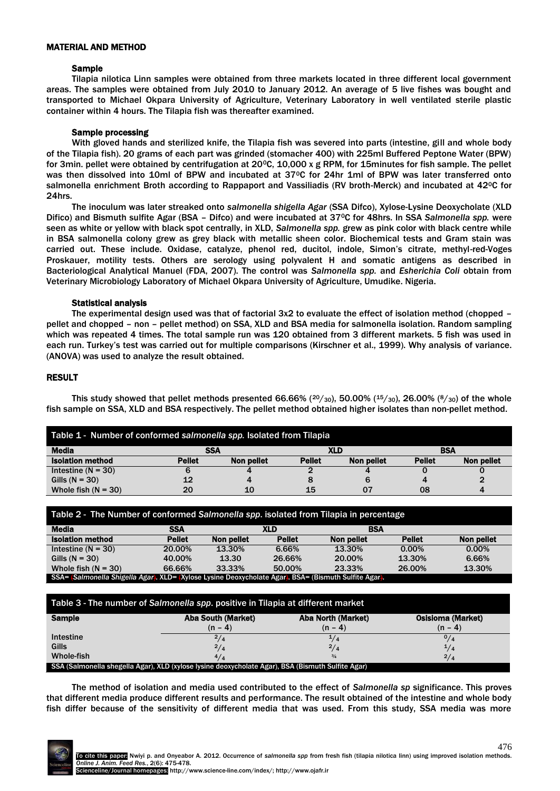#### MATERIAL AND METHOD

#### **Sample**

Tilapia nilotica Linn samples were obtained from three markets located in three different local government areas. The samples were obtained from July 2010 to January 2012. An average of 5 live fishes was bought and transported to Michael Okpara University of Agriculture, Veterinary Laboratory in well ventilated sterile plastic container within 4 hours. The Tilapia fish was thereafter examined.

#### Sample processing

With gloved hands and sterilized knife, the Tilapia fish was severed into parts (intestine, gill and whole body of the Tilapia fish). 20 grams of each part was grinded (stomacher 400) with 225ml Buffered Peptone Water (BPW) for 3min. pellet were obtained by centrifugation at 20 $\degree$ C, 10,000 x g RPM, for 15minutes for fish sample. The pellet was then dissolved into 10ml of BPW and incubated at 37°C for 24hr 1ml of BPW was later transferred onto salmonella enrichment Broth according to Rappaport and Vassiliadis (RV broth-Merck) and incubated at 42<sup>o</sup>C for 24hrs.

The inoculum was later streaked onto *salmonella shigella Agar* (SSA Difco), Xylose-Lysine Deoxycholate (XLD Difico) and Bismuth sulfite Agar (BSA – Difco) and were incubated at 370C for 48hrs. In SSA *Salmonella spp.* were seen as white or yellow with black spot centrally, in XLD, *Salmonella spp.* grew as pink color with black centre while in BSA salmonella colony grew as grey black with metallic sheen color. Biochemical tests and Gram stain was carried out. These include. Oxidase, catalyze, phenol red, ducitol, indole, Simon's citrate, methyl-red-Voges Proskauer, motility tests. Others are serology using polyvalent H and somatic antigens as described in Bacteriological Analytical Manuel (FDA, 2007). The control was *Salmonella spp.* and *Esherichia Coli* obtain from Veterinary Microbiology Laboratory of Michael Okpara University of Agriculture, Umudike. Nigeria.

#### Statistical analysis

The experimental design used was that of factorial 3x2 to evaluate the effect of isolation method (chopped – pellet and chopped – non – pellet method) on SSA, XLD and BSA media for salmonella isolation. Random sampling which was repeated 4 times. The total sample run was 120 obtained from 3 different markets. 5 fish was used in each run. Turkey's test was carried out for multiple comparisons (Kirschner et al., 1999). Why analysis of variance. (ANOVA) was used to analyze the result obtained.

#### RESULT

This study showed that pellet methods presented 66.66% ( $20/30$ ), 50.00% ( $15/30$ ), 26.00% ( $8/30$ ) of the whole fish sample on SSA, XLD and BSA respectively. The pellet method obtained higher isolates than non-pellet method.

| Table 1 - Number of conformed salmonella spp. Isolated from Tilapia |               |            |               |            |               |            |  |
|---------------------------------------------------------------------|---------------|------------|---------------|------------|---------------|------------|--|
| <b>Media</b>                                                        |               | <b>SSA</b> |               | XLD        |               | <b>BSA</b> |  |
| <b>Isolation method</b>                                             | <b>Pellet</b> | Non pellet | <b>Pellet</b> | Non pellet | <b>Pellet</b> | Non pellet |  |
| Intestine ( $N = 30$ )                                              | 6             | 4          |               |            |               |            |  |
| Gills $(N = 30)$                                                    | 12            | 4          |               |            |               |            |  |
| Whole fish $(N = 30)$                                               | 20            | 10         | 15            | 07         | 08            |            |  |

| Table 2 - The Number of conformed Salmonella spp. isolated from Tilapia in percentage                 |               |            |               |            |               |            |
|-------------------------------------------------------------------------------------------------------|---------------|------------|---------------|------------|---------------|------------|
| Media                                                                                                 | <b>SSA</b>    |            | XLD           | <b>BSA</b> |               |            |
| <b>Isolation method</b>                                                                               | <b>Pellet</b> | Non pellet | <b>Pellet</b> | Non pellet | <b>Pellet</b> | Non pellet |
| Intestine $(N = 30)$                                                                                  | 20.00%        | 13.30%     | 6.66%         | 13.30%     | $0.00\%$      | $0.00\%$   |
| Gills $(N = 30)$                                                                                      | 40.00%        | 13.30      | 26.66%        | 20.00%     | 13.30%        | 6.66%      |
| Whole fish $(N = 30)$                                                                                 | 66.66%        | 33.33%     | 50.00%        | 23.33%     | 26.00%        | 13.30%     |
| SSA= (Salmonella Shigella Agar). XLD= {Xylose Lysine Deoxycholate Agar}. BSA= (Bismuth Sulfite Agar). |               |            |               |            |               |            |

| Table 3 - The number of Salmonella spp. positive in Tilapia at different market                   |                           |                           |                          |  |  |  |
|---------------------------------------------------------------------------------------------------|---------------------------|---------------------------|--------------------------|--|--|--|
| Sample                                                                                            | <b>Aba South (Market)</b> | <b>Aba North (Market)</b> | <b>Osisioma (Market)</b> |  |  |  |
|                                                                                                   | $(n - 4)$                 | $(n - 4)$                 | $(n - 4)$                |  |  |  |
| <b>Intestine</b>                                                                                  | $\frac{2}{4}$             | $^{1/4}$                  | 0/4                      |  |  |  |
| Gills                                                                                             | 2/4                       | $^{2}/_{4}$               | 1/4                      |  |  |  |
| Whole-fish                                                                                        | 4/4                       | $^{3/4}$                  | $\frac{2}{4}$            |  |  |  |
| SSA (Salmonella shegella Agar), XLD (xylose lysine deoxycholate Agar), BSA (Bismuth Sulfite Agar) |                           |                           |                          |  |  |  |

The method of isolation and media used contributed to the effect of *Salmonella sp* significance. This proves that different media produce different results and performance. The result obtained of the intestine and whole body fish differ because of the sensitivity of different media that was used. From this study, SSA media was more

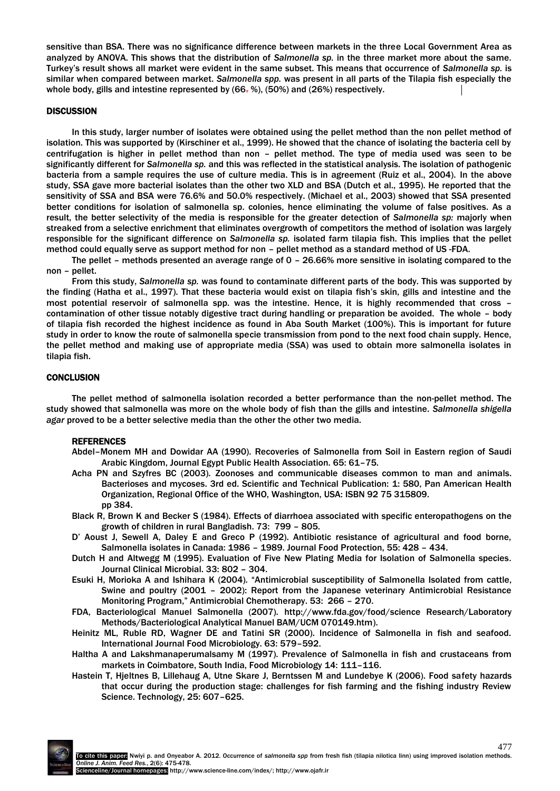sensitive than BSA. There was no significance difference between markets in the three Local Government Area as analyzed by ANOVA. This shows that the distribution of *Salmonella sp.* in the three market more about the same. Turkey's result shows all market were evident in the same subset. This means that occurrence of *Salmonella sp.* is similar when compared between market. *Salmonella spp.* was present in all parts of the Tilapia fish especially the whole body, gills and intestine represented by  $(66, %)$ ,  $(50%)$  and  $(26%)$  respectively.

#### **DISCUSSION**

In this study, larger number of isolates were obtained using the pellet method than the non pellet method of isolation. This was supported by (Kirschiner et al., 1999). He showed that the chance of isolating the bacteria cell by centrifugation is higher in pellet method than non – pellet method. The type of media used was seen to be significantly different for *Salmonella sp.* and this was reflected in the statistical analysis. The isolation of pathogenic bacteria from a sample requires the use of culture media. This is in agreement (Ruiz et al., 2004). In the above study, SSA gave more bacterial isolates than the other two XLD and BSA (Dutch et al., 1995). He reported that the sensitivity of SSA and BSA were 76.6% and 50.0% respectively. (Michael et al., 2003) showed that SSA presented better conditions for isolation of salmonella sp. colonies, hence eliminating the volume of false positives. As a result, the better selectivity of the media is responsible for the greater detection of *Salmonella sp:* majorly when streaked from a selective enrichment that eliminates overgrowth of competitors the method of isolation was largely responsible for the significant difference on *Salmonella sp.* isolated farm tilapia fish. This implies that the pellet method could equally serve as support method for non – pellet method as a standard method of US -FDA.

The pellet – methods presented an average range of 0 – 26.66% more sensitive in isolating compared to the non – pellet.

From this study, *Salmonella sp.* was found to contaminate different parts of the body. This was supported by the finding (Hatha et al., 1997). That these bacteria would exist on tilapia fish's skin, gills and intestine and the most potential reservoir of salmonella spp. was the intestine. Hence, it is highly recommended that cross – contamination of other tissue notably digestive tract during handling or preparation be avoided. The whole – body of tilapia fish recorded the highest incidence as found in Aba South Market (100%). This is important for future study in order to know the route of salmonella specie transmission from pond to the next food chain supply. Hence, the pellet method and making use of appropriate media (SSA) was used to obtain more salmonella isolates in tilapia fish.

#### **CONCLUSION**

The pellet method of salmonella isolation recorded a better performance than the non-pellet method. The study showed that salmonella was more on the whole body of fish than the gills and intestine. *Salmonella shigella agar* proved to be a better selective media than the other the other two media.

#### **REFERENCES**

- Abdel–Monem MH and Dowidar AA (1990). Recoveries of Salmonella from Soil in Eastern region of Saudi Arabic Kingdom, Journal Egypt Public Health Association. 65: 61–75.
- Acha PN and Szyfres BC (2003). Zoonoses and communicable diseases common to man and animals. Bacterioses and mycoses. 3rd ed. Scientific and Technical Publication: 1: 580, Pan American Health Organization, Regional Office of the WHO, Washington, USA: ISBN 92 75 315809. pp 384.
- Black R, Brown K and Becker S (1984). Effects of diarrhoea associated with specific enteropathogens on the growth of children in rural Bangladish. 73: 799 – 805.
- D' Aoust J, Sewell A, Daley E and Greco P (1992). Antibiotic resistance of agricultural and food borne, Salmonella isolates in Canada: 1986 – 1989. Journal Food Protection, 55: 428 – 434.
- Dutch H and Altwegg M (1995). Evaluation of Five New Plating Media for Isolation of Salmonella species*.*  Journal Clinical Microbial. 33: 802 – 304.
- Esuki H, Morioka A and Ishihara K (2004). "Antimicrobial susceptibility of Salmonella Isolated from cattle, Swine and poultry (2001 – 2002): Report from the Japanese veterinary Antimicrobial Resistance Monitoring Program," Antimicrobial Chemotherapy. 53: 266 – 270.
- FDA, Bacteriological Manuel Salmonella (2007). http://www.fda.gov/food/science Research/Laboratory Methods/Bacteriological Analytical Manuel BAM/UCM 070149.htm).
- Heinitz ML, Ruble RD, Wagner DE and Tatini SR (2000). Incidence of Salmonella in fish and seafood. International Journal Food Microbiology. 63: 579–592.
- Haltha A and Lakshmanaperumalsamy M (1997). Prevalence of Salmonella in fish and crustaceans from markets in Coimbatore, South India, Food Microbiology 14: 111–116.
- Hastein T, Hjeltnes B, Lillehaug A, Utne Skare J, Berntssen M and Lundebye K (2006). Food safety hazards that occur during the production stage: challenges for fish farming and the fishing industry Review Science. Technology, 25: 607–625.